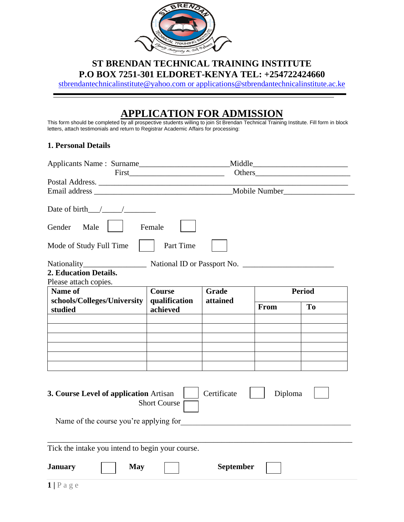

## **ST BRENDAN TECHNICAL TRAINING INSTITUTE P.O BOX 7251-301 ELDORET-KENYA TEL: +254722424660**

[stbrendantechnicalinstitute@yahoo.com](mailto:stbrendantechnicalinstitute@yahoo.com) or applications@stbrendantechnicalinstitute.ac.ke

## **APPLICATION FOR ADMISSION**

This form should be completed by all prospective students willing to join St Brendan Technical Training Institute. Fill form in block letters, attach testimonials and return to Registrar Academic Affairs for processing:

## **1. Personal Details**

|                                                  | First                          |                  |               |                |  |
|--------------------------------------------------|--------------------------------|------------------|---------------|----------------|--|
| Postal Address.                                  |                                |                  |               |                |  |
|                                                  |                                |                  |               |                |  |
| Date of birth $/$ /<br>Gender<br>Male            | Female                         |                  |               |                |  |
| Mode of Study Full Time                          | Part Time                      |                  |               |                |  |
|                                                  | National ID or Passport No.    |                  |               |                |  |
| 2. Education Details.                            |                                |                  |               |                |  |
| Please attach copies.<br>Name of                 |                                | Grade            |               |                |  |
| schools/Colleges/University                      | <b>Course</b><br>qualification | attained         | <b>Period</b> |                |  |
| studied                                          | achieved                       |                  | From          | T <sub>0</sub> |  |
|                                                  |                                |                  |               |                |  |
|                                                  |                                |                  |               |                |  |
|                                                  |                                |                  |               |                |  |
|                                                  |                                |                  |               |                |  |
|                                                  |                                |                  |               |                |  |
| 3. Course Level of application Artisan           | <b>Short Course</b>            | Certificate      | Diploma       |                |  |
| Name of the course you're applying for           |                                |                  |               |                |  |
| Tick the intake you intend to begin your course. |                                |                  |               |                |  |
| <b>January</b><br><b>May</b>                     |                                | <b>September</b> |               |                |  |